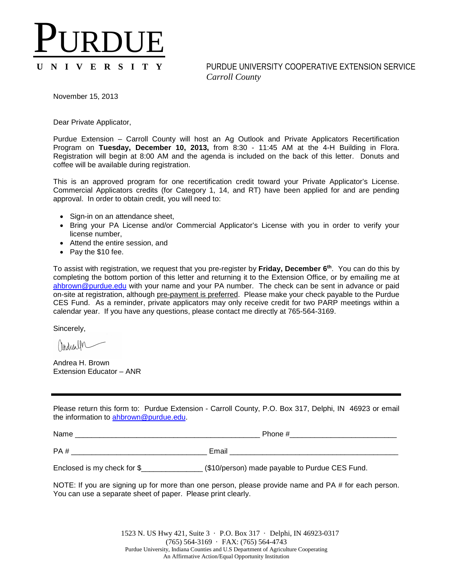## PURDUE

## **U N I V E R S I T Y** PURDUE UNIVERSITY COOPERATIVE EXTENSION SERVICE *Carroll County*

November 15, 2013

Dear Private Applicator,

Purdue Extension – Carroll County will host an Ag Outlook and Private Applicators Recertification Program on **Tuesday, December 10, 2013,** from 8:30 - 11:45 AM at the 4-H Building in Flora. Registration will begin at 8:00 AM and the agenda is included on the back of this letter. Donuts and coffee will be available during registration.

This is an approved program for one recertification credit toward your Private Applicator's License. Commercial Applicators credits (for Category 1, 14, and RT) have been applied for and are pending approval. In order to obtain credit, you will need to:

- Sign-in on an attendance sheet,
- Bring your PA License and/or Commercial Applicator's License with you in order to verify your license number,
- Attend the entire session, and
- Pay the \$10 fee.

To assist with registration, we request that you pre-register by **Friday, December 6th**. You can do this by completing the bottom portion of this letter and returning it to the Extension Office, or by emailing me at [ahbrown@purdue.edu](mailto:ahbrown@purdue.edu) with your name and your PA number. The check can be sent in advance or paid on-site at registration, although pre-payment is preferred. Please make your check payable to the Purdue CES Fund. As a reminder, private applicators may only receive credit for two PARP meetings within a calendar year. If you have any questions, please contact me directly at 765-564-3169.

Sincerely,

Andrea H. Brown Extension Educator – ANR

Please return this form to: Purdue Extension - Carroll County, P.O. Box 317, Delphi, IN 46923 or email the information to [ahbrown@purdue.edu.](mailto:ahbrown@purdue.edu)

Name \_\_\_\_\_\_\_\_\_\_\_\_\_\_\_\_\_\_\_\_\_\_\_\_\_\_\_\_\_\_\_\_\_\_\_\_\_\_\_\_\_\_\_\_\_ Phone #\_\_\_\_\_\_\_\_\_\_\_\_\_\_\_\_\_\_\_\_\_\_\_\_\_\_

PA # \_\_\_\_\_\_\_\_\_\_\_\_\_\_\_\_\_\_\_\_\_\_\_\_\_\_\_\_\_\_\_\_\_ Email \_\_\_\_\_\_\_\_\_\_\_\_\_\_\_\_\_\_\_\_\_\_\_\_\_\_\_\_\_\_\_\_\_\_\_\_\_\_\_\_\_

Enclosed is my check for \$\_\_\_\_\_\_\_\_\_\_\_\_\_\_\_\_\_ (\$10/person) made payable to Purdue CES Fund.

NOTE: If you are signing up for more than one person, please provide name and PA # for each person. You can use a separate sheet of paper. Please print clearly.